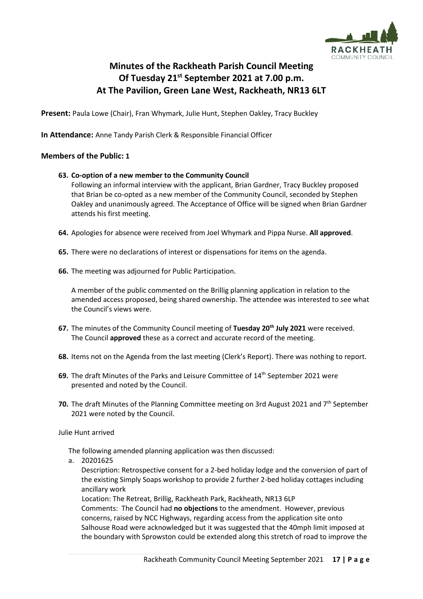

# **Minutes of the Rackheath Parish Council Meeting Of Tuesday 21st September 2021 at 7.00 p.m. At The Pavilion, Green Lane West, Rackheath, NR13 6LT**

**Present:** Paula Lowe (Chair), Fran Whymark, Julie Hunt, Stephen Oakley, Tracy Buckley

**In Attendance:** Anne Tandy Parish Clerk & Responsible Financial Officer

# **Members of the Public: 1**

### **63. Co-option of a new member to the Community Council**

Following an informal interview with the applicant, Brian Gardner, Tracy Buckley proposed that Brian be co-opted as a new member of the Community Council, seconded by Stephen Oakley and unanimously agreed. The Acceptance of Office will be signed when Brian Gardner attends his first meeting.

- **64.** Apologies for absence were received from Joel Whymark and Pippa Nurse. **All approved**.
- **65.** There were no declarations of interest or dispensations for items on the agenda.
- **66.** The meeting was adjourned for Public Participation.

A member of the public commented on the Brillig planning application in relation to the amended access proposed, being shared ownership. The attendee was interested to see what the Council's views were.

- **67.** The minutes of the Community Council meeting of **Tuesday 20th July 2021** were received. The Council **approved** these as a correct and accurate record of the meeting.
- **68.** Items not on the Agenda from the last meeting (Clerk's Report). There was nothing to report.
- **69.** The draft Minutes of the Parks and Leisure Committee of 14<sup>th</sup> September 2021 were presented and noted by the Council.
- 70. The draft Minutes of the Planning Committee meeting on 3rd August 2021 and 7<sup>th</sup> September 2021 were noted by the Council.

Julie Hunt arrived

The following amended planning application was then discussed:

a. 20201625

Description: Retrospective consent for a 2-bed holiday lodge and the conversion of part of the existing Simply Soaps workshop to provide 2 further 2-bed holiday cottages including ancillary work

Location: The Retreat, Brillig, Rackheath Park, Rackheath, NR13 6LP

Comments: The Council had **no objections** to the amendment. However, previous concerns, raised by NCC Highways, regarding access from the application site onto Salhouse Road were acknowledged but it was suggested that the 40mph limit imposed at the boundary with Sprowston could be extended along this stretch of road to improve the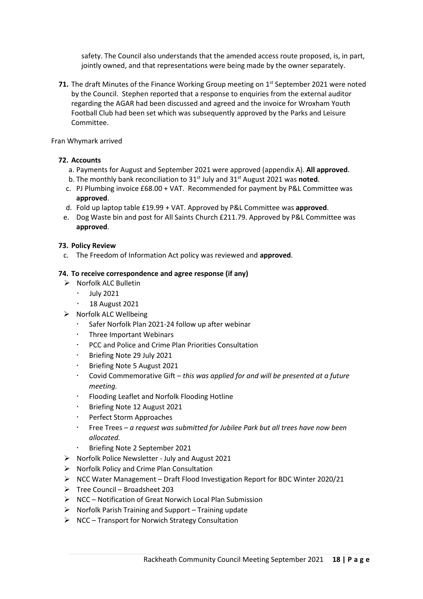safety. The Council also understands that the amended access route proposed, is, in part, jointly owned, and that representations were being made by the owner separately.

**71.** The draft Minutes of the Finance Working Group meeting on 1<sup>st</sup> September 2021 were noted by the Council. Stephen reported that a response to enquiries from the external auditor regarding the AGAR had been discussed and agreed and the invoice for Wroxham Youth Football Club had been set which was subsequently approved by the Parks and Leisure Committee.

### Fran Whymark arrived

## **72. Accounts**

- a. Payments for August and September 2021 were approved (appendix A). **All approved**.
- b. The monthly bank reconciliation to 31<sup>st</sup> July and 31<sup>st</sup> August 2021 was noted.
- c. PJ Plumbing invoice £68.00 + VAT. Recommended for payment by P&L Committee was **approved**.
- d. Fold up laptop table £19.99 + VAT. Approved by P&L Committee was **approved**.
- e. Dog Waste bin and post for All Saints Church £211.79. Approved by P&L Committee was **approved**.

### **73. Policy Review**

c. The Freedom of Information Act policy was reviewed and **approved**.

### **74. To receive correspondence and agree response (if any)**

- ➢ Norfolk ALC Bulletin
	- $\cdot$  July 2021
	- 18 August 2021
- ➢ Norfolk ALC Wellbeing
	- Safer Norfolk Plan 2021-24 follow up after webinar
	- Three Important Webinars
	- PCC and Police and Crime Plan Priorities Consultation
	- Briefing Note 29 July 2021
	- Briefing Note 5 August 2021
	- Covid Commemorative Gift *this was applied for and will be presented at a future meeting.*
	- Flooding Leaflet and Norfolk Flooding Hotline
	- Briefing Note 12 August 2021
	- **·** Perfect Storm Approaches
	- Free Trees *a request was submitted for Jubilee Park but all trees have now been allocated.*
		- Briefing Note 2 September 2021
- ➢ Norfolk Police Newsletter July and August 2021
- $\triangleright$  Norfolk Policy and Crime Plan Consultation
- $\triangleright$  NCC Water Management Draft Flood Investigation Report for BDC Winter 2020/21
- $\triangleright$  Tree Council Broadsheet 203
- ➢ NCC Notification of Great Norwich Local Plan Submission
- $\triangleright$  Norfolk Parish Training and Support Training update
- ➢ NCC Transport for Norwich Strategy Consultation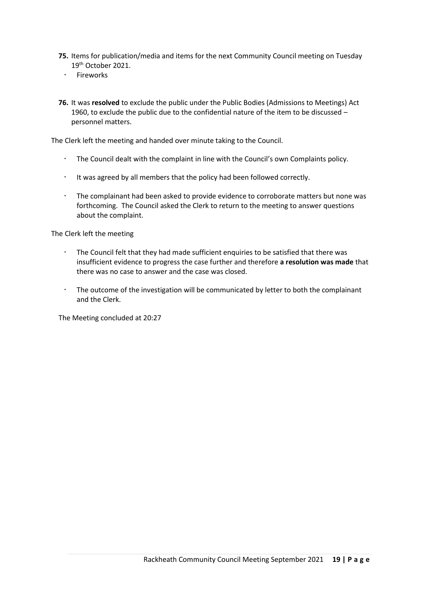- **75.** Items for publication/media and items for the next Community Council meeting on Tuesday 19th October 2021.
	- · Fireworks
- **76.** It was **resolved** to exclude the public under the Public Bodies (Admissions to Meetings) Act 1960, to exclude the public due to the confidential nature of the item to be discussed – personnel matters.

The Clerk left the meeting and handed over minute taking to the Council.

- The Council dealt with the complaint in line with the Council's own Complaints policy.
- $\cdot$  It was agreed by all members that the policy had been followed correctly.
- The complainant had been asked to provide evidence to corroborate matters but none was forthcoming. The Council asked the Clerk to return to the meeting to answer questions about the complaint.

The Clerk left the meeting

- The Council felt that they had made sufficient enquiries to be satisfied that there was insufficient evidence to progress the case further and therefore **a resolution was made** that there was no case to answer and the case was closed.
- The outcome of the investigation will be communicated by letter to both the complainant and the Clerk.

The Meeting concluded at 20:27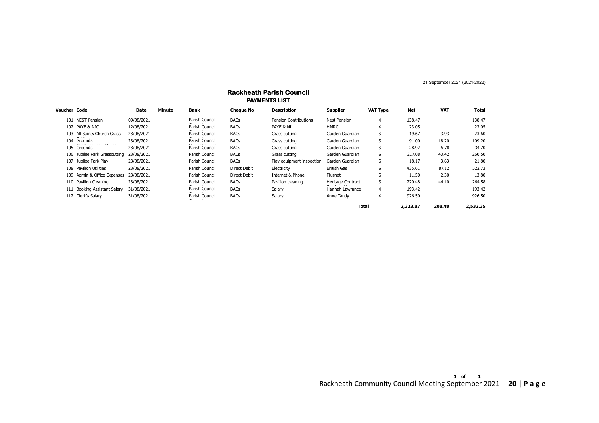21 September 2021 (2021-2022)

| <b>PAYMENTS LIST</b> |                               |             |        |                |                     |                              |                          |                 |          |            |          |
|----------------------|-------------------------------|-------------|--------|----------------|---------------------|------------------------------|--------------------------|-----------------|----------|------------|----------|
| Voucher Code         |                               | <b>Date</b> | Minute | <b>Bank</b>    | <b>Cheque No</b>    | <b>Description</b>           | <b>Supplier</b>          | <b>VAT Type</b> | Net      | <b>VAT</b> | Total    |
|                      | 101 NEST Pension              | 09/08/2021  |        | Parish Council | <b>BACs</b>         | <b>Pension Contributions</b> | <b>Nest Pension</b>      | X               | 138.47   |            | 138.47   |
|                      | 102 PAYE & NIC                | 12/08/2021  |        | Parish Council | <b>BACs</b>         | PAYE & NI                    | <b>HMRC</b>              | X               | 23.05    |            | 23.05    |
|                      | 103 All-Saints Church Grass   | 23/08/2021  |        | Parish Council | <b>BACs</b>         | Grass cutting                | Garden Guardian          | S               | 19.67    | 3.93       | 23.60    |
|                      | 104 Grounds                   | 23/08/2021  |        | Parish Council | <b>BACs</b>         | Grass cutting                | Garden Guardian          | S               | 91.00    | 18.20      | 109.20   |
|                      | 105 Grounds                   | 23/08/2021  |        | Parish Council | <b>BACs</b>         | Grass cutting                | Garden Guardian          | S               | 28.92    | 5.78       | 34.70    |
|                      | 106 Jubilee Park Grasscutting | 23/08/2021  |        | Parish Council | <b>BACs</b>         | Grass cutting                | Garden Guardian          | S               | 217.08   | 43.42      | 260.50   |
|                      | 107 Jubilee Park Play         | 23/08/2021  |        | Parish Council | <b>BACs</b>         | Play equipment inspection    | Garden Guardian          | S               | 18.17    | 3.63       | 21.80    |
|                      | 108 Pavilion Utilities        | 23/08/2021  |        | Parish Council | <b>Direct Debit</b> | Electricity                  | British Gas              | S               | 435.61   | 87.12      | 522.73   |
|                      | 109 Admin & Office Expenses   | 23/08/2021  |        | Parish Council | <b>Direct Debit</b> | Internet & Phone             | Plusnet                  |                 | 11.50    | 2.30       | 13.80    |
|                      | 110 Pavilion Cleaning         | 23/08/2021  |        | Parish Council | <b>BACs</b>         | Pavilion cleaning            | <b>Heritage Contract</b> | S               | 220.48   | 44.10      | 264.58   |
|                      | 111 Booking Assistant Salary  | 31/08/2021  |        | Parish Council | <b>BACs</b>         | Salary                       | Hannah Lawrance          | X               | 193.42   |            | 193.42   |
|                      | 112 Clerk's Salary            | 31/08/2021  |        | Parish Council | <b>BACs</b>         | Salary                       | Anne Tandy               | X               | 926.50   |            | 926.50   |
|                      |                               |             |        |                |                     |                              | <b>Total</b>             |                 | 2,323.87 | 208.48     | 2,532.35 |

# **Rackheath Parish Council**